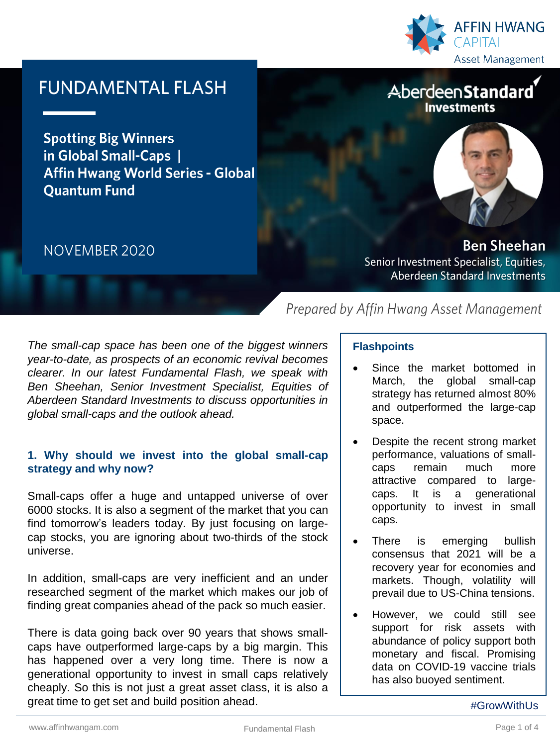

# **FUNDAMENTAL FLASH**

**Spotting Big Winners** in Global Small-Caps | **Affin Hwang World Series - Global Quantum Fund** 

## NOVEMBER 2020

AberdeenStandard **Investments** 



**Ben Sheehan** Senior Investment Specialist, Equities, **Aberdeen Standard Investments** 

*The small-cap space has been one of the biggest winners year-to-date, as prospects of an economic revival becomes clearer. In our latest Fundamental Flash, we speak with Ben Sheehan, Senior Investment Specialist, Equities of Aberdeen Standard Investments to discuss opportunities in global small-caps and the outlook ahead.*

## **1. Why should we invest into the global small-cap strategy and why now?**

Small-caps offer a huge and untapped universe of over 6000 stocks. It is also a segment of the market that you can find tomorrow's leaders today. By just focusing on largecap stocks, you are ignoring about two-thirds of the stock universe.

In addition, small-caps are very inefficient and an under researched segment of the market which makes our job of finding great companies ahead of the pack so much easier.

There is data going back over 90 years that shows smallcaps have outperformed large-caps by a big margin. This has happened over a very long time. There is now a generational opportunity to invest in small caps relatively cheaply. So this is not just a great asset class, it is also a great time to get set and build position ahead.

## **Flashpoints**

Prepared by Affin Hwang Asset Management

- Since the market bottomed in March, the global small-cap strategy has returned almost 80% and outperformed the large-cap space.
- Despite the recent strong market performance, valuations of smallcaps remain much more attractive compared to largecaps. It is a generational opportunity to invest in small caps.
- There is emerging bullish consensus that 2021 will be a recovery year for economies and markets. Though, volatility will prevail due to US-China tensions.
- However, we could still see support for risk assets with abundance of policy support both monetary and fiscal. Promising data on COVID-19 vaccine trials has also buoyed sentiment.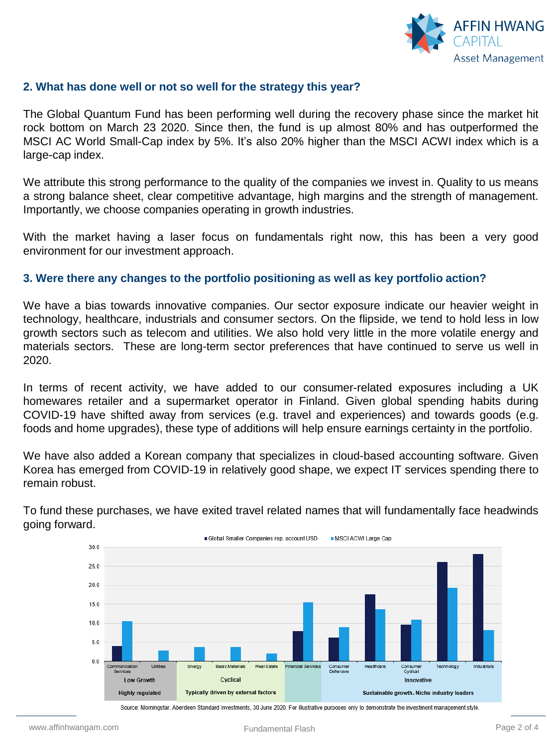

#### **2. What has done well or not so well for the strategy this year?**

The Global Quantum Fund has been performing well during the recovery phase since the market hit rock bottom on March 23 2020. Since then, the fund is up almost 80% and has outperformed the MSCI AC World Small-Cap index by 5%. It's also 20% higher than the MSCI ACWI index which is a large-cap index.

We attribute this strong performance to the quality of the companies we invest in. Quality to us means a strong balance sheet, clear competitive advantage, high margins and the strength of management. Importantly, we choose companies operating in growth industries.

With the market having a laser focus on fundamentals right now, this has been a very good environment for our investment approach.

#### **3. Were there any changes to the portfolio positioning as well as key portfolio action?**

We have a bias towards innovative companies. Our sector exposure indicate our heavier weight in technology, healthcare, industrials and consumer sectors. On the flipside, we tend to hold less in low growth sectors such as telecom and utilities. We also hold very little in the more volatile energy and materials sectors. These are long-term sector preferences that have continued to serve us well in 2020.

In terms of recent activity, we have added to our consumer-related exposures including a UK homewares retailer and a supermarket operator in Finland. Given global spending habits during COVID-19 have shifted away from services (e.g. travel and experiences) and towards goods (e.g. foods and home upgrades), these type of additions will help ensure earnings certainty in the portfolio.

We have also added a Korean company that specializes in cloud-based accounting software. Given Korea has emerged from COVID-19 in relatively good shape, we expect IT services spending there to remain robust.



To fund these purchases, we have exited travel related names that will fundamentally face headwinds going forward.

Source: Morningstar, Aberdeen Standard Investments, 30 June 2020. For illustrative purposes only to demonstrate the investment management style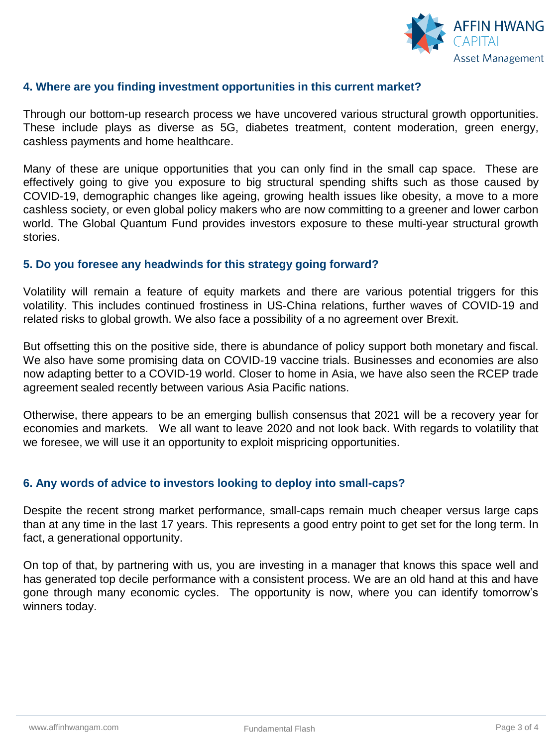

#### **4. Where are you finding investment opportunities in this current market?**

Through our bottom-up research process we have uncovered various structural growth opportunities. These include plays as diverse as 5G, diabetes treatment, content moderation, green energy, cashless payments and home healthcare.

Many of these are unique opportunities that you can only find in the small cap space. These are effectively going to give you exposure to big structural spending shifts such as those caused by COVID-19, demographic changes like ageing, growing health issues like obesity, a move to a more cashless society, or even global policy makers who are now committing to a greener and lower carbon world. The Global Quantum Fund provides investors exposure to these multi-year structural growth stories.

#### **5. Do you foresee any headwinds for this strategy going forward?**

Volatility will remain a feature of equity markets and there are various potential triggers for this volatility. This includes continued frostiness in US-China relations, further waves of COVID-19 and related risks to global growth. We also face a possibility of a no agreement over Brexit.

But offsetting this on the positive side, there is abundance of policy support both monetary and fiscal. We also have some promising data on COVID-19 vaccine trials. Businesses and economies are also now adapting better to a COVID-19 world. Closer to home in Asia, we have also seen the RCEP trade agreement sealed recently between various Asia Pacific nations.

Otherwise, there appears to be an emerging bullish consensus that 2021 will be a recovery year for economies and markets. We all want to leave 2020 and not look back. With regards to volatility that we foresee, we will use it an opportunity to exploit mispricing opportunities.

#### **6. Any words of advice to investors looking to deploy into small-caps?**

Despite the recent strong market performance, small-caps remain much cheaper versus large caps than at any time in the last 17 years. This represents a good entry point to get set for the long term. In fact, a generational opportunity.

On top of that, by partnering with us, you are investing in a manager that knows this space well and has generated top decile performance with a consistent process. We are an old hand at this and have gone through many economic cycles. The opportunity is now, where you can identify tomorrow's winners today.